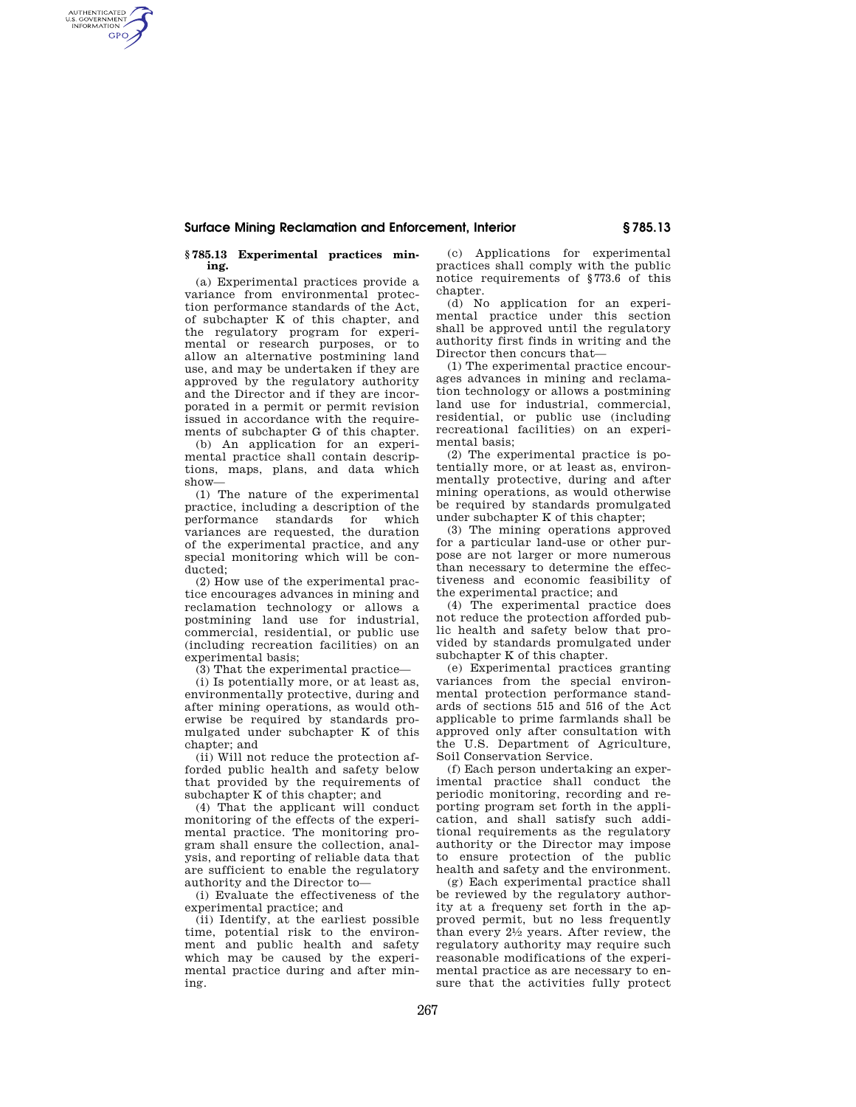## **Surface Mining Reclamation and Enforcement, Interior § 785.13**

## **§ 785.13 Experimental practices mining.**

AUTHENTICATED<br>U.S. GOVERNMENT<br>INFORMATION **GPO** 

> (a) Experimental practices provide a variance from environmental protection performance standards of the Act, of subchapter K of this chapter, and the regulatory program for experimental or research purposes, or to allow an alternative postmining land use, and may be undertaken if they are approved by the regulatory authority and the Director and if they are incorporated in a permit or permit revision issued in accordance with the requirements of subchapter G of this chapter.

> (b) An application for an experimental practice shall contain descriptions, maps, plans, and data which show—

> (1) The nature of the experimental practice, including a description of the performance standards for which variances are requested, the duration of the experimental practice, and any special monitoring which will be conducted;

> (2) How use of the experimental practice encourages advances in mining and reclamation technology or allows a postmining land use for industrial, commercial, residential, or public use (including recreation facilities) on an experimental basis;

(3) That the experimental practice—

(i) Is potentially more, or at least as, environmentally protective, during and after mining operations, as would otherwise be required by standards promulgated under subchapter K of this chapter; and

(ii) Will not reduce the protection afforded public health and safety below that provided by the requirements of subchapter K of this chapter; and

(4) That the applicant will conduct monitoring of the effects of the experimental practice. The monitoring program shall ensure the collection, analysis, and reporting of reliable data that are sufficient to enable the regulatory authority and the Director to—

(i) Evaluate the effectiveness of the experimental practice; and

(ii) Identify, at the earliest possible time, potential risk to the environment and public health and safety which may be caused by the experimental practice during and after mining.

(c) Applications for experimental practices shall comply with the public notice requirements of §773.6 of this chapter.

(d) No application for an experimental practice under this section shall be approved until the regulatory authority first finds in writing and the Director then concurs that—

(1) The experimental practice encourages advances in mining and reclamation technology or allows a postmining land use for industrial, commercial, residential, or public use (including recreational facilities) on an experimental basis;

(2) The experimental practice is potentially more, or at least as, environmentally protective, during and after mining operations, as would otherwise be required by standards promulgated under subchapter K of this chapter;

(3) The mining operations approved for a particular land-use or other purpose are not larger or more numerous than necessary to determine the effectiveness and economic feasibility of the experimental practice; and

(4) The experimental practice does not reduce the protection afforded public health and safety below that provided by standards promulgated under subchapter K of this chapter.

(e) Experimental practices granting variances from the special environmental protection performance standards of sections 515 and 516 of the Act applicable to prime farmlands shall be approved only after consultation with the U.S. Department of Agriculture, Soil Conservation Service.

(f) Each person undertaking an experimental practice shall conduct the periodic monitoring, recording and reporting program set forth in the application, and shall satisfy such additional requirements as the regulatory authority or the Director may impose to ensure protection of the public health and safety and the environment.

(g) Each experimental practice shall be reviewed by the regulatory authority at a frequeny set forth in the approved permit, but no less frequently than every 21⁄2 years. After review, the regulatory authority may require such reasonable modifications of the experimental practice as are necessary to ensure that the activities fully protect